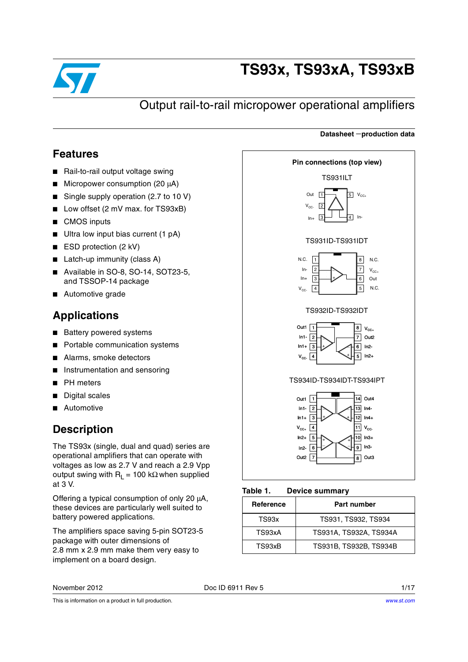

# **TS93x, TS93xA, TS93xB**

## Output rail-to-rail micropower operational amplifiers

#### <span id="page-0-1"></span>**Features**

- Rail-to-rail output voltage swing
- Micropower consumption (20 μA)
- Single supply operation (2.7 to 10 V)
- Low offset (2 mV max. for TS93xB)
- CMOS inputs
- Ultra low input bias current (1 pA)
- ESD protection (2 kV)
- Latch-up immunity (class A)
- Available in SO-8, SO-14, SOT23-5, and TSSOP-14 package
- Automotive grade

### **Applications**

- Battery powered systems
- Portable communication systems
- Alarms, smoke detectors
- Instrumentation and sensoring
- **PH** meters
- Digital scales
- **Automotive**

### **Description**

The TS93x (single, dual and quad) series are operational amplifiers that can operate with voltages as low as 2.7 V and reach a 2.9 Vpp output swing with  $R_L$  = 100 kΩ when supplied at 3 V.

Offering a typical consumption of only 20 μA, these devices are particularly well suited to battery powered applications.

The amplifiers space saving 5-pin SOT23-5 package with outer dimensions of 2.8 mm x 2.9 mm make them very easy to implement on a board design.



**Datasheet** −**production data**

#### $V_{\text{cc}}$  $\sqrt{3}$  $\boxed{4}$  11 12  $ln2+$ In2- Out<sub>2</sub>  $\sqrt{7}$  $In4+$  $\sqrt{5}$  $\sqrt{6}$ 7 8 10 ন + +  $\rightarrow$   $\prec$   $^+$ \_  $\overline{8}$  Out3 In3+ In3- +  $ln1+$  $\mathsf{V}_{\mathsf{CC+}}$

<span id="page-0-0"></span>

| Reference | Part number            |
|-----------|------------------------|
| TS93x     | TS931, TS932, TS934    |
| TS93xA    | TS931A, TS932A, TS934A |
| TS93xB    | TS931B, TS932B, TS934B |

November 2012 **Doc ID 6911 Rev 5** 1/17

This is information on a product in full production.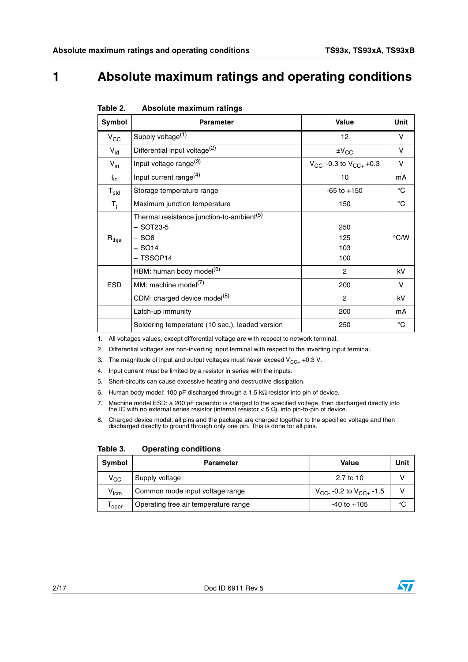## **1 Absolute maximum ratings and operating conditions**

| Symbol          | <b>Parameter</b>                                                                                         | <b>Value</b>                    | Unit          |
|-----------------|----------------------------------------------------------------------------------------------------------|---------------------------------|---------------|
| $V_{\rm CC}$    | Supply voltage <sup>(1)</sup>                                                                            | 12                              | v             |
| $V_{\text{id}}$ | Differential input voltage <sup>(2)</sup>                                                                | $\pm V_{\rm CC}$                | v             |
| $V_{in}$        | Input voltage range <sup>(3)</sup>                                                                       | $V_{CC}$ -0.3 to $V_{CC+}$ +0.3 | v             |
| $I_{in}$        | Input current range <sup>(4)</sup>                                                                       | 10                              | mA            |
| $T_{\sf std}$   | Storage temperature range                                                                                | $-65$ to $+150$                 | °C            |
| $T_i$           | Maximum junction temperature                                                                             | 150                             | °C            |
| $R_{thja}$      | Thermal resistance junction-to-ambient <sup>(5)</sup><br>$-$ SOT23-5<br>– SO8<br>$-$ SO14<br>$-$ TSSOP14 | 250<br>125<br>103<br>100        | $\degree$ C/W |
|                 | HBM: human body model <sup>(6)</sup>                                                                     | $\overline{2}$                  | kV            |
| ESD             | MM: machine model <sup>(7)</sup>                                                                         | 200                             | v             |
|                 | CDM: charged device model <sup>(8)</sup>                                                                 | $\overline{c}$                  | kV            |
|                 | Latch-up immunity                                                                                        | 200                             | mA            |
|                 | Soldering temperature (10 sec.), leaded version                                                          | 250                             | $^{\circ}C$   |

#### <span id="page-1-0"></span>Table 2. **Absolute maximum ratings**

1. All voltages values, except differential voltage are with respect to network terminal.

- 2. Differential voltages are non-inverting input terminal with respect to the inverting input terminal.
- 3. The magnitude of input and output voltages must never exceed  $V_{CC+}$  +0.3 V.
- 4. Input current must be limited by a resistor in series with the inputs.
- 5. Short-circuits can cause excessive heating and destructive dissipation.
- 6. Human body model: 100 pF discharged through a 1.5 kΩ resistor into pin of device.
- 7. Machine model ESD: a 200 pF capacitor is charged to the specified voltage, then discharged directly into the IC with no external series resistor (internal resistor < 5 Ω), into pin-to-pin of device.
- 8. Charged device model: all pins and the package are charged together to the specified voltage and then discharged directly to ground through only one pin. This is done for all pins.

Table 3. **Operating conditions** 

| Symbol                      | Parameter                            | Value                           | Unit |
|-----------------------------|--------------------------------------|---------------------------------|------|
| $\mathsf{v}_{\mathsf{cc}}$  | Supply voltage                       | 2.7 to 10                       |      |
| $\mathsf{V}_{\mathsf{icm}}$ | Common mode input voltage range      | $V_{CC}$ -0.2 to $V_{CC+}$ -1.5 |      |
| l oper                      | Operating free air temperature range | $-40$ to $+105$                 | °C   |

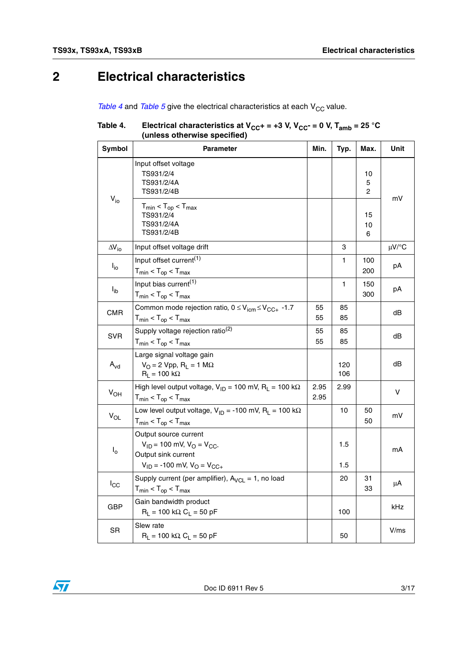## **2 Electrical characteristics**

*[Table 4](#page-2-0)* and *[Table 5](#page-3-0)* give the electrical characteristics at each V<sub>CC</sub> value.

#### <span id="page-2-0"></span>Table 4. Table 4. Electrical characteristics at V<sub>CC</sub>+ = +3 V, V<sub>CC</sub>- = 0 V, T<sub>amb</sub> = 25 °C **(unless otherwise specified)**

| Symbol              | <b>Parameter</b>                                                                                                                 | Min.         | Typ.       | Max.          | Unit       |
|---------------------|----------------------------------------------------------------------------------------------------------------------------------|--------------|------------|---------------|------------|
|                     | Input offset voltage<br>TS931/2/4<br>TS931/2/4A<br>TS931/2/4B                                                                    |              |            | 10<br>5<br>2  |            |
| $V_{io}$            | $T_{min}$ < $T_{op}$ < $T_{max}$<br>TS931/2/4<br>TS931/2/4A<br>TS931/2/4B                                                        |              |            | 15<br>10<br>6 | mV         |
| $\Delta V_{\rm io}$ | Input offset voltage drift                                                                                                       |              | 3          |               | $\mu$ V/°C |
| $I_{\text{io}}$     | Input offset current <sup>(1)</sup><br>$T_{min}$ < $T_{op}$ < $T_{max}$                                                          |              | 1          | 100<br>200    | рA         |
| $I_{ib}$            | Input bias current $(1)$<br>$T_{min}$ < $T_{op}$ < $T_{max}$                                                                     |              | 1          | 150<br>300    | рA         |
| <b>CMR</b>          | Common mode rejection ratio, $0 \leq V_{\text{icm}} \leq V_{\text{CC+}}$ -1.7<br>$T_{min}$ < $T_{op}$ < $T_{max}$                | 55<br>55     | 85<br>85   |               | dB         |
| <b>SVR</b>          | Supply voltage rejection ratio <sup>(2)</sup><br>$T_{min}$ < $T_{op}$ < $T_{max}$                                                | 55<br>55     | 85<br>85   |               | dB         |
| $A_{vd}$            | Large signal voltage gain<br>$V_O = 2 Vpp$ , R <sub>1</sub> = 1 M $\Omega$<br>$R_L$ = 100 k $\Omega$                             |              | 120<br>106 |               | dB         |
| $V_{OH}$            | High level output voltage, $V_{1D} = 100$ mV, R <sub>1</sub> = 100 k $\Omega$<br>$T_{min}$ < $T_{op}$ < $T_{max}$                | 2.95<br>2.95 | 2.99       |               | v          |
| $V_{OL}$            | Low level output voltage, $V_{ID} = -100$ mV, $R_I = 100$ k $\Omega$<br>$T_{min}$ < $T_{op}$ < $T_{max}$                         |              | 10         | 50<br>50      | mV         |
| $I_{o}$             | Output source current<br>$V_{1D}$ = 100 mV, $V_{O}$ = $V_{CC}$<br>Output sink current<br>$V_{ID}$ = -100 mV, $V_{O}$ = $V_{CC+}$ |              | 1.5<br>1.5 |               | mA         |
| $I_{\rm CC}$        | Supply current (per amplifier), $A_{VCL} = 1$ , no load<br>$T_{min}$ < $T_{op}$ < $T_{max}$                                      |              | 20         | 31<br>33      | μA         |
| GBP                 | Gain bandwidth product<br>$R_L$ = 100 kΩ, $C_L$ = 50 pF                                                                          |              | 100        |               | kHz        |
| SR                  | Slew rate<br>$R_1 = 100 \text{ k}\Omega$ , $C_1 = 50 \text{ pF}$                                                                 |              | 50         |               | V/ms       |

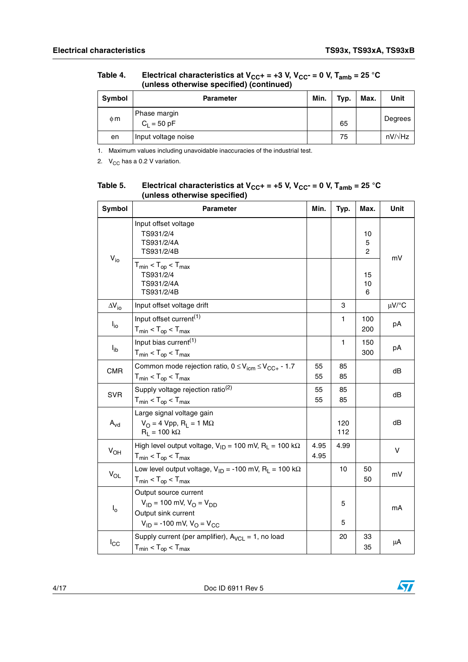|          | (anicoo otherwise opeonica) (oontinaca) |      |      |      |                |  |  |
|----------|-----------------------------------------|------|------|------|----------------|--|--|
| Symbol   | <b>Parameter</b>                        | Min. | Typ. | Max. | Unit           |  |  |
| $\phi$ m | Phase margin<br>$C_1 = 50$ pF           |      | 65   |      | Degrees        |  |  |
| en       | Input voltage noise                     |      | 75   |      | $nV/\sqrt{Hz}$ |  |  |

Table 4. Electrical characteristics at V<sub>CC</sub>+ = +3 V, V<sub>CC</sub>- = 0 V, T<sub>amb</sub> = 25 °C **(unless otherwise specified) (continued)**

1. Maximum values including unavoidable inaccuracies of the industrial test.

2.  $V_{CC}$  has a 0.2 V variation.

| Symbol                     | <b>Parameter</b>                                                                                                                | Min.         | Typ.       | Max.                      | Unit       |
|----------------------------|---------------------------------------------------------------------------------------------------------------------------------|--------------|------------|---------------------------|------------|
|                            | Input offset voltage<br>TS931/2/4<br>TS931/2/4A<br>TS931/2/4B                                                                   |              |            | 10<br>5<br>$\overline{2}$ | mV         |
| $V_{io}$                   | $T_{min}$ < $T_{op}$ < $T_{max}$<br>TS931/2/4<br>TS931/2/4A<br>TS931/2/4B                                                       |              |            | 15<br>10<br>6             |            |
| $\Delta V_{\text{io}}$     | Input offset voltage drift                                                                                                      |              | 3          |                           | $\mu$ V/°C |
| $I_{\text{io}}$            | Input offset current <sup>(1)</sup><br>$T_{min}$ < $T_{op}$ < $T_{max}$                                                         |              | 1          | 100<br>200                | рA         |
| $I_{ib}$                   | Input bias current <sup>(1)</sup><br>$T_{min}$ < $T_{op}$ < $T_{max}$                                                           |              | 1          | 150<br>300                | рA         |
| <b>CMR</b>                 | Common mode rejection ratio, $0 \leq V_{\text{icm}} \leq V_{\text{CC+}}$ - 1.7<br>$T_{min}$ < $T_{op}$ < $T_{max}$              | 55<br>55     | 85<br>85   |                           | dB         |
| <b>SVR</b>                 | Supply voltage rejection ratio <sup>(2)</sup><br>$T_{min}$ < $T_{op}$ < $T_{max}$                                               | 55<br>55     | 85<br>85   |                           | dB         |
| $\mathsf{A}_{\mathsf{vd}}$ | Large signal voltage gain<br>$V_O = 4 Vpp$ , $R_L = 1 M\Omega$<br>$R_1 = 100 k\Omega$                                           |              | 120<br>112 |                           | dB         |
| $V_{OH}$                   | High level output voltage, $V_{1D} = 100$ mV, R <sub>L</sub> = 100 k $\Omega$<br>$T_{min}$ < $T_{op}$ < $T_{max}$               | 4.95<br>4.95 | 4.99       |                           | V          |
| $V_{OL}$                   | Low level output voltage, $V_{1D}$ = -100 mV, R <sub>1</sub> = 100 k $\Omega$<br>$T_{min}$ < $T_{op}$ < $T_{max}$               |              | 10         | 50<br>50                  | mV         |
| $I_{o}$                    | Output source current<br>$V_{1D}$ = 100 mV, $V_{O}$ = $V_{DD}$<br>Output sink current<br>$V_{ID}$ = -100 mV, $V_{O}$ = $V_{CC}$ |              | 5<br>5     |                           | mA         |
| $I_{\rm CC}$               | Supply current (per amplifier), $A_{VCL} = 1$ , no load<br>$T_{min}$ < $T_{op}$ < $T_{max}$                                     |              | 20         | 33<br>35                  | μA         |

<span id="page-3-0"></span>Table 5. Table 5. Electrical characteristics at V<sub>CC</sub>+ = +5 V, V<sub>CC</sub>- = 0 V, T<sub>amb</sub> = 25 °C **(unless otherwise specified)**

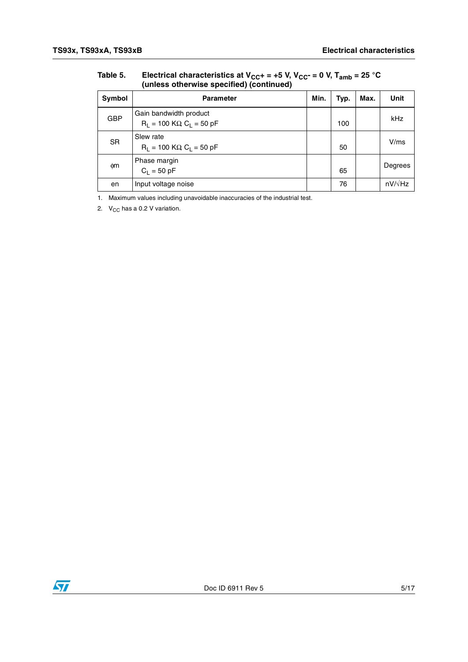| Symbol     | <b>Parameter</b>                                        | Min. | Typ. | Max. | Unit           |  |  |  |
|------------|---------------------------------------------------------|------|------|------|----------------|--|--|--|
| <b>GBP</b> | Gain bandwidth product<br>$R_1 = 100$ KΩ, $C_1 = 50$ pF |      | 100  |      | kHz            |  |  |  |
| <b>SR</b>  | Slew rate<br>$R_1 = 100$ KΩ, C <sub>1</sub> = 50 pF     |      | 50   |      | V/ms           |  |  |  |
| фm         | Phase margin<br>$C_1 = 50 pF$                           |      | 65   |      | Degrees        |  |  |  |
| en         | Input voltage noise                                     |      | 76   |      | $nV/\sqrt{Hz}$ |  |  |  |

Table 5. Electrical characteristics at V<sub>CC</sub>+ = +5 V, V<sub>CC</sub>- = 0 V, T<sub>amb</sub> = 25 °C **(unless otherwise specified) (continued)**

1. Maximum values including unavoidable inaccuracies of the industrial test.

2.  $V_{CC}$  has a 0.2 V variation.

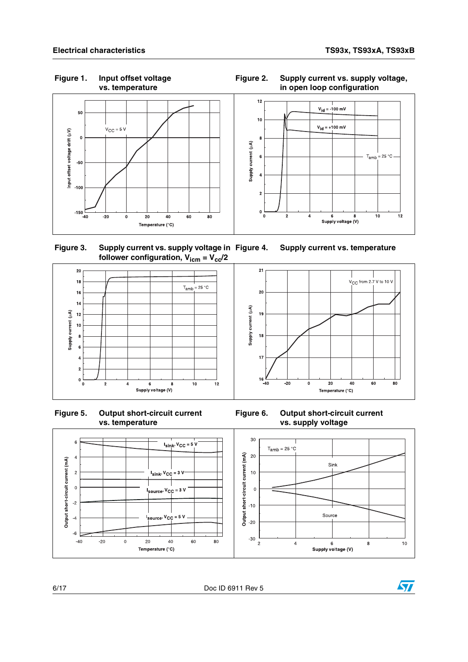**Figure 1. Input offset voltage** 

 $V_{\text{CC}}$  from 2.7 V to 10 V

 $40$ 

60

80



 **Figure 3. Supply current vs. supply voltage in**  follower configuration,  $V_{\text{icm}} = V_{\text{cc}}/2$ **Supply current vs. temperature** 









6/17 Doc ID 6911 Rev 5

**Figure 2. Supply current vs. supply voltage, in open loop configuration**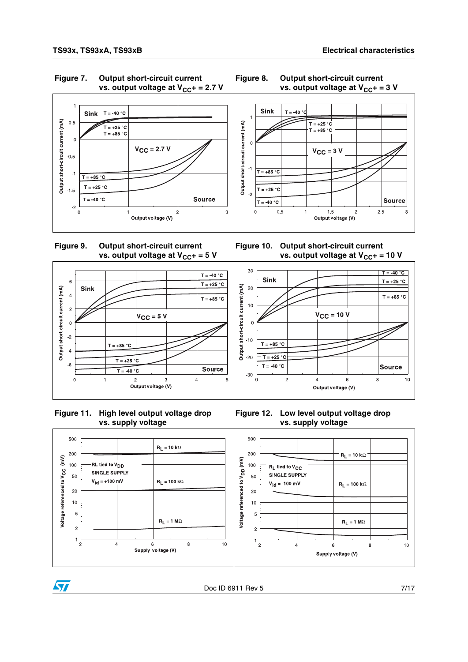

30

 $20$ 

 $10$ 

 $\overline{0}$ 

 $-10$ 

 $-20$ 

 $-30$ 

 $\mathbf 0$ 

Sink

 $T = +85 °C$ 

 $T = +25$ ۰r

 $T = -40 °C$ 

 $\overline{c}$ 





**Figure 10. Output short-circuit current** 

**vs. output voltage at V<sub>CC</sub>+ = 10 V** 

 $V_{CC}$  = 10 V

 $\,6\,$ 

Output voltage (V)

 $T = -40 °C$ 

 $T = +25 °C$ 

 $T = +85 °C$ 

Source

 $10$ 

8









#### **Figure 12. Low level output voltage drop vs. supply voltage**

 $\overline{4}$ 





Doc ID 6911 Rev 5 7/17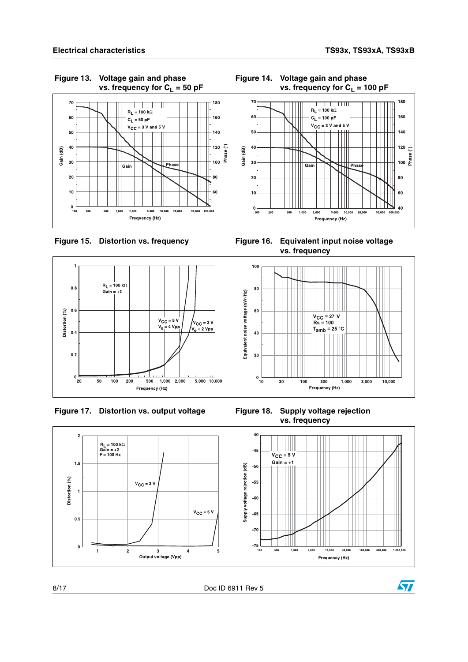









**vs. frequency**



8/17 Doc ID 6911 Rev 5

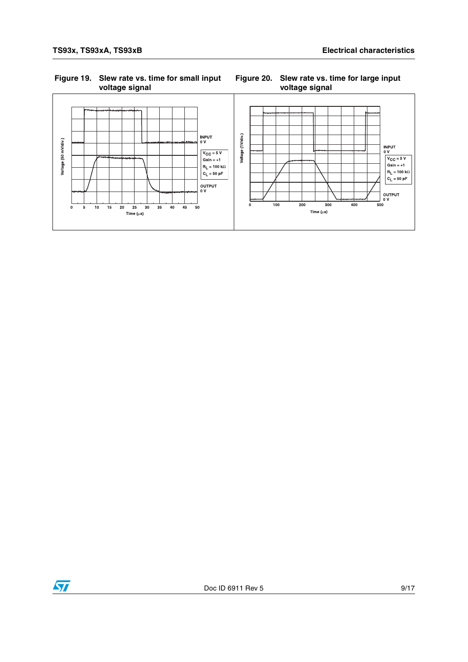#### **Figure 19. Slew rate vs. time for small input voltage signal**

#### **Figure 20. Slew rate vs. time for large input voltage signal**



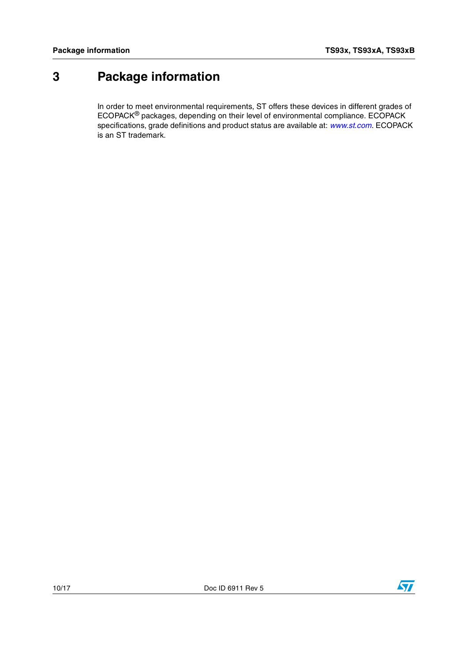## <span id="page-9-0"></span>**3 Package information**

In order to meet environmental requirements, ST offers these devices in different grades of ECOPACK® packages, depending on their level of environmental compliance. ECOPACK specifications, grade definitions and product status are available at: *[www.st.com](http://www.st.com)*. ECOPACK is an ST trademark.

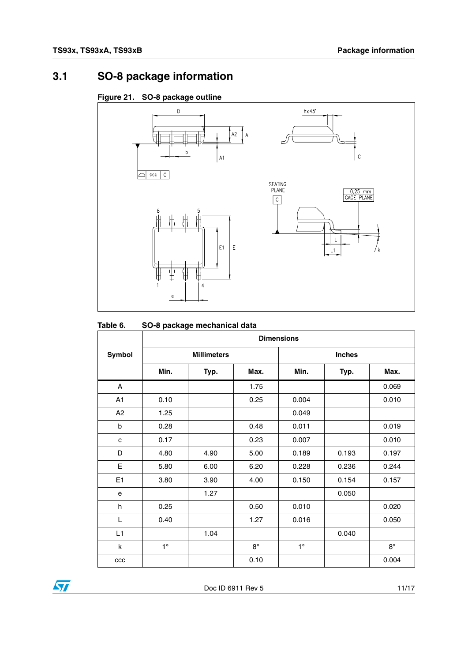## **3.1 SO-8 package information**

#### **Figure 21. SO-8 package outline**



#### **Table 6. SO-8 package mechanical data**

|                | <b>Dimensions</b> |                    |             |             |               |           |  |  |
|----------------|-------------------|--------------------|-------------|-------------|---------------|-----------|--|--|
| Symbol         |                   | <b>Millimeters</b> |             |             | <b>Inches</b> |           |  |  |
|                | Min.              | Typ.               | Max.        | Min.        | Typ.          | Max.      |  |  |
| A              |                   |                    | 1.75        |             |               | 0.069     |  |  |
| A <sub>1</sub> | 0.10              |                    | 0.25        | 0.004       |               | 0.010     |  |  |
| A <sub>2</sub> | 1.25              |                    |             | 0.049       |               |           |  |  |
| b              | 0.28              |                    | 0.48        | 0.011       |               | 0.019     |  |  |
| c              | 0.17              |                    | 0.23        | 0.007       |               | 0.010     |  |  |
| D              | 4.80              | 4.90               | 5.00        | 0.189       | 0.193         | 0.197     |  |  |
| E              | 5.80              | 6.00               | 6.20        | 0.228       | 0.236         | 0.244     |  |  |
| E <sub>1</sub> | 3.80              | 3.90               | 4.00        | 0.150       | 0.154         | 0.157     |  |  |
| e              |                   | 1.27               |             |             | 0.050         |           |  |  |
| h              | 0.25              |                    | 0.50        | 0.010       |               | 0.020     |  |  |
| L              | 0.40              |                    | 1.27        | 0.016       |               | 0.050     |  |  |
| L1             |                   | 1.04               |             |             | 0.040         |           |  |  |
| k              | $1^{\circ}$       |                    | $8^{\circ}$ | $1^{\circ}$ |               | $8^\circ$ |  |  |
| ccc            |                   |                    | 0.10        |             |               | 0.004     |  |  |

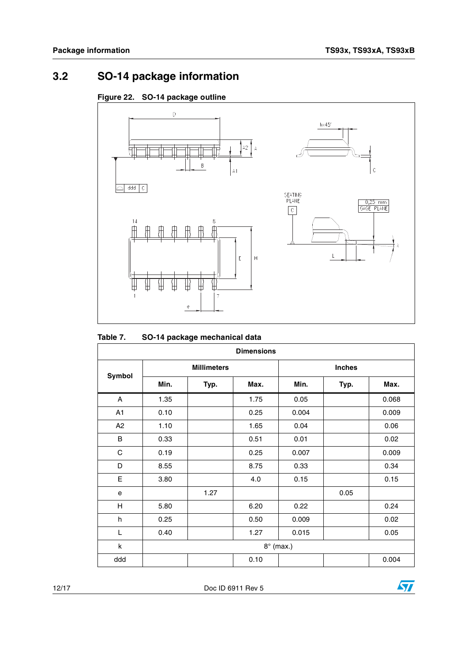## **3.2 SO-14 package information**





#### **Table 7. SO-14 package mechanical data**

| <b>Dimensions</b> |                  |                    |      |       |               |       |  |  |
|-------------------|------------------|--------------------|------|-------|---------------|-------|--|--|
| Symbol            |                  | <b>Millimeters</b> |      |       | <b>Inches</b> |       |  |  |
|                   | Min.             | Typ.               | Max. | Min.  | Typ.          | Max.  |  |  |
| A                 | 1.35             |                    | 1.75 | 0.05  |               | 0.068 |  |  |
| A1                | 0.10             |                    | 0.25 | 0.004 |               | 0.009 |  |  |
| A <sub>2</sub>    | 1.10             |                    | 1.65 | 0.04  |               | 0.06  |  |  |
| B                 | 0.33             |                    | 0.51 | 0.01  |               | 0.02  |  |  |
| C                 | 0.19             |                    | 0.25 | 0.007 |               | 0.009 |  |  |
| D                 | 8.55             |                    | 8.75 | 0.33  |               | 0.34  |  |  |
| E                 | 3.80             |                    | 4.0  | 0.15  |               | 0.15  |  |  |
| е                 |                  | 1.27               |      |       | 0.05          |       |  |  |
| Н                 | 5.80             |                    | 6.20 | 0.22  |               | 0.24  |  |  |
| h                 | 0.25             |                    | 0.50 | 0.009 |               | 0.02  |  |  |
| L                 | 0.40             |                    | 1.27 | 0.015 |               | 0.05  |  |  |
| k                 | $8^\circ$ (max.) |                    |      |       |               |       |  |  |
| ddd               |                  |                    | 0.10 |       |               | 0.004 |  |  |

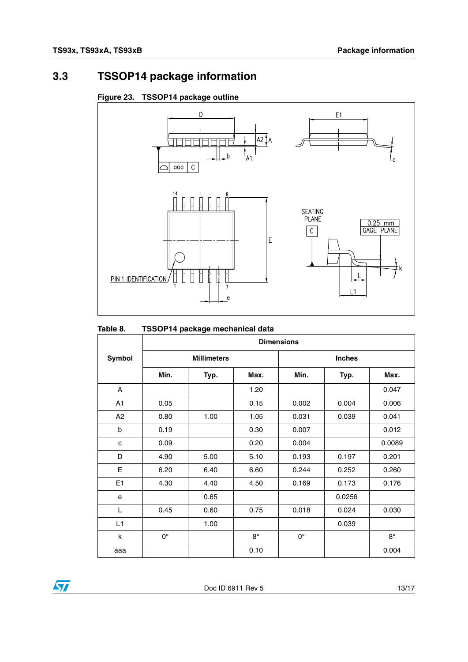## **3.3 TSSOP14 package information**





#### **Table 8. TSSOP14 package mechanical data**

|                | <b>Dimensions</b>  |      |             |             |               |           |  |  |
|----------------|--------------------|------|-------------|-------------|---------------|-----------|--|--|
| Symbol         | <b>Millimeters</b> |      |             |             | <b>Inches</b> |           |  |  |
|                | Min.               | Typ. | Max.        | Min.        | Typ.          | Max.      |  |  |
| A              |                    |      | 1.20        |             |               | 0.047     |  |  |
| A1             | 0.05               |      | 0.15        | 0.002       | 0.004         | 0.006     |  |  |
| A2             | 0.80               | 1.00 | 1.05        | 0.031       | 0.039         | 0.041     |  |  |
| b              | 0.19               |      | 0.30        | 0.007       |               | 0.012     |  |  |
| C              | 0.09               |      | 0.20        | 0.004       |               | 0.0089    |  |  |
| D              | 4.90               | 5.00 | 5.10        | 0.193       | 0.197         | 0.201     |  |  |
| Е              | 6.20               | 6.40 | 6.60        | 0.244       | 0.252         | 0.260     |  |  |
| E <sub>1</sub> | 4.30               | 4.40 | 4.50        | 0.169       | 0.173         | 0.176     |  |  |
| e              |                    | 0.65 |             |             | 0.0256        |           |  |  |
| L              | 0.45               | 0.60 | 0.75        | 0.018       | 0.024         | 0.030     |  |  |
| L1             |                    | 1.00 |             |             | 0.039         |           |  |  |
| k              | $0^{\circ}$        |      | $8^{\circ}$ | $0^{\circ}$ |               | $8^\circ$ |  |  |
| aaa            |                    |      | 0.10        |             |               | 0.004     |  |  |

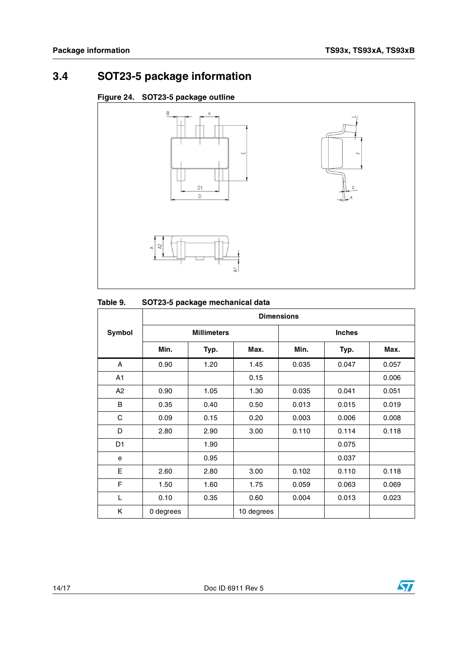## **3.4 SOT23-5 package information**





#### Table 9. **SOT23-5 package mechanical data**

|        | <b>Dimensions</b> |                    |            |               |       |       |  |  |
|--------|-------------------|--------------------|------------|---------------|-------|-------|--|--|
| Symbol |                   | <b>Millimeters</b> |            | <b>Inches</b> |       |       |  |  |
|        | Min.              | Typ.               | Max.       | Min.          | Typ.  | Max.  |  |  |
| A      | 0.90              | 1.20               | 1.45       | 0.035         | 0.047 | 0.057 |  |  |
| A1     |                   |                    | 0.15       |               |       | 0.006 |  |  |
| A2     | 0.90              | 1.05               | 1.30       | 0.035         | 0.041 | 0.051 |  |  |
| B      | 0.35              | 0.40               | 0.50       | 0.013         | 0.015 | 0.019 |  |  |
| C      | 0.09              | 0.15               | 0.20       | 0.003         | 0.006 | 0.008 |  |  |
| D      | 2.80              | 2.90               | 3.00       | 0.110         | 0.114 | 0.118 |  |  |
| D1     |                   | 1.90               |            |               | 0.075 |       |  |  |
| e      |                   | 0.95               |            |               | 0.037 |       |  |  |
| Е      | 2.60              | 2.80               | 3.00       | 0.102         | 0.110 | 0.118 |  |  |
| F      | 1.50              | 1.60               | 1.75       | 0.059         | 0.063 | 0.069 |  |  |
| L      | 0.10              | 0.35               | 0.60       | 0.004         | 0.013 | 0.023 |  |  |
| K      | 0 degrees         |                    | 10 degrees |               |       |       |  |  |

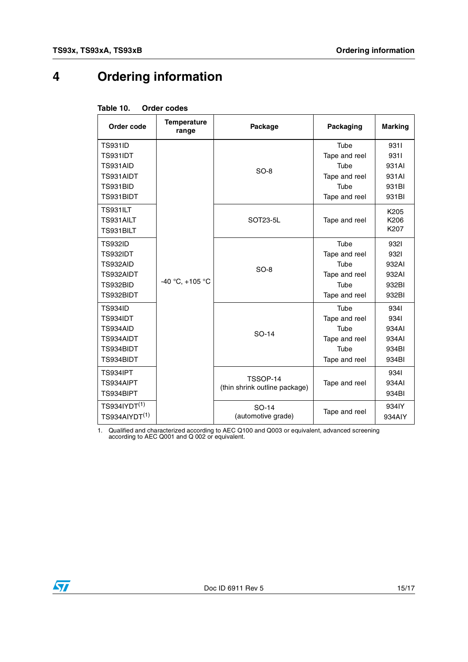## **4 Ordering information**

<span id="page-14-1"></span>

| Table 10. |  | <b>Order codes</b> |
|-----------|--|--------------------|
|           |  |                    |

| Order code                                                                          | <b>Temperature</b><br>range | Package                                   | Packaging                                                               | <b>Marking</b>                                   |
|-------------------------------------------------------------------------------------|-----------------------------|-------------------------------------------|-------------------------------------------------------------------------|--------------------------------------------------|
| <b>TS931ID</b><br><b>TS931IDT</b><br>TS931AID<br>TS931AIDT<br>TS931BID<br>TS931BIDT | -40 °C, +105 °C             | $SO-8$                                    | Tube<br>Tape and reel<br>Tube<br>Tape and reel<br>Tube<br>Tape and reel | 9311<br>9311<br>931AI<br>931AI<br>931BI<br>931BI |
| <b>TS931ILT</b><br>TS931AILT<br>TS931BILT                                           |                             | SOT23-5L                                  | Tape and reel                                                           | K205<br>K206<br>K207                             |
| <b>TS932ID</b><br><b>TS932IDT</b><br>TS932AID<br>TS932AIDT<br>TS932BID<br>TS932BIDT |                             | $SO-8$                                    | Tube<br>Tape and reel<br>Tube<br>Tape and reel<br>Tube<br>Tape and reel | 9321<br>9321<br>932AI<br>932AI<br>932BI<br>932BI |
| <b>TS934ID</b><br>TS934IDT<br>TS934AID<br>TS934AIDT<br>TS934BIDT<br>TS934BIDT       |                             | SO-14                                     | Tube<br>Tape and reel<br>Tube<br>Tape and reel<br>Tube<br>Tape and reel | 9341<br>9341<br>934AI<br>934AI<br>934BI<br>934BI |
| <b>TS934IPT</b><br>TS934AIPT<br>TS934BIPT                                           |                             | TSSOP-14<br>(thin shrink outline package) | Tape and reel                                                           | 9341<br>934AI<br>934BI                           |
| $TS934$ IYDT $^{(1)}$<br>TS934AIYDT <sup>(1)</sup>                                  |                             | SO-14<br>(automotive grade)               | Tape and reel                                                           | 934IY<br>934AIY                                  |

<span id="page-14-0"></span>1. Qualified and characterized according to AEC Q100 and Q003 or equivalent, advanced screening according to AEC Q001 and Q 002 or equivalent.

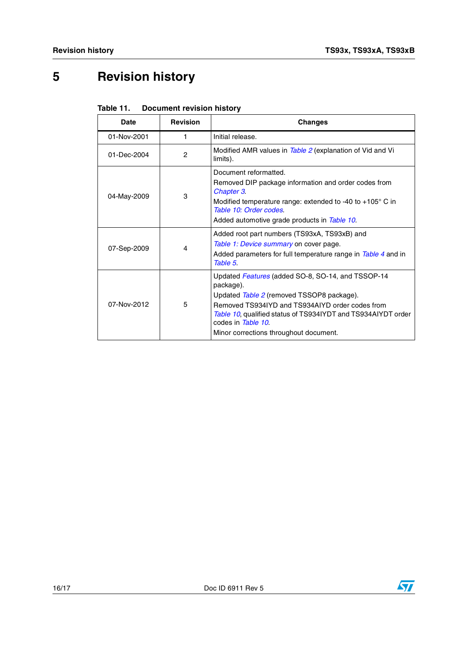# **5 Revision history**

| Table 11. | <b>Document revision history</b> |
|-----------|----------------------------------|
|-----------|----------------------------------|

| Date        | <b>Revision</b> | <b>Changes</b>                                                                                                                                                                                                                                                                                 |
|-------------|-----------------|------------------------------------------------------------------------------------------------------------------------------------------------------------------------------------------------------------------------------------------------------------------------------------------------|
| 01-Nov-2001 | 1               | Initial release.                                                                                                                                                                                                                                                                               |
| 01-Dec-2004 | 2               | Modified AMR values in Table 2 (explanation of Vid and Vi<br>limits).                                                                                                                                                                                                                          |
| 04-May-2009 | 3               | Document reformatted.<br>Removed DIP package information and order codes from<br>Chapter 3.<br>Modified temperature range: extended to -40 to +105 $^{\circ}$ C in<br>Table 10: Order codes.<br>Added automotive grade products in Table 10.                                                   |
| 07-Sep-2009 | 4               | Added root part numbers (TS93xA, TS93xB) and<br>Table 1: Device summary on cover page.<br>Added parameters for full temperature range in Table 4 and in<br>Table 5.                                                                                                                            |
| 07-Nov-2012 | 5               | Updated Features (added SO-8, SO-14, and TSSOP-14<br>package).<br>Updated Table 2 (removed TSSOP8 package).<br>Removed TS934IYD and TS934AIYD order codes from<br>Table 10, qualified status of TS934IYDT and TS934AIYDT order<br>codes in Table 10.<br>Minor corrections throughout document. |